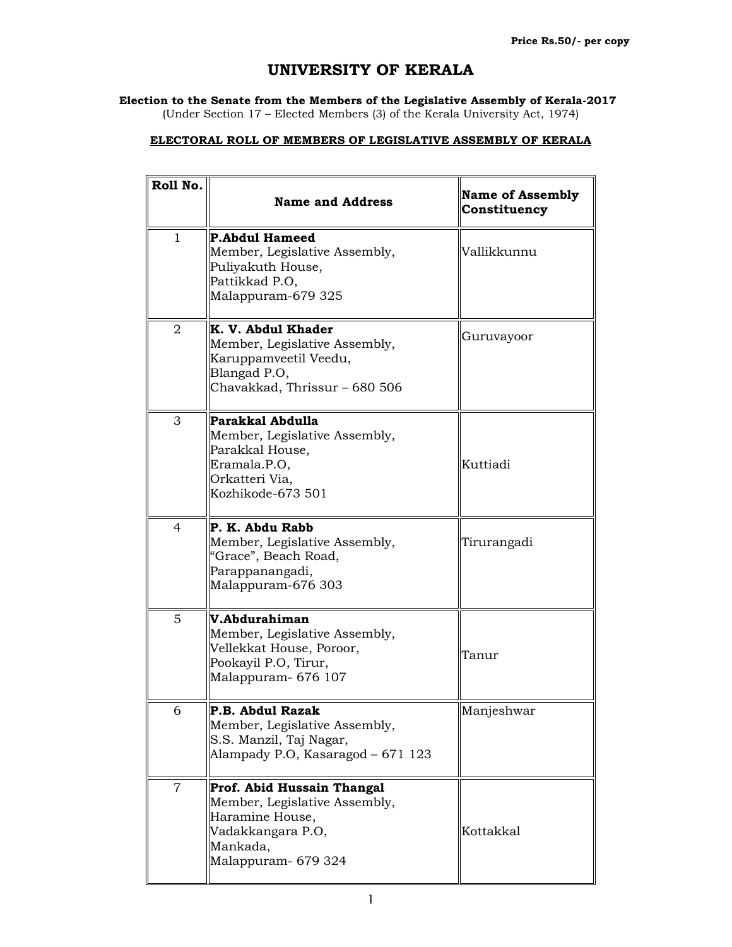## UNIVERSITY OF KERALA

## Election to the Senate from the Members of the Legislative Assembly of Kerala-2017

(Under Section 17 – Elected Members (3) of the Kerala University Act, 1974)

## ELECTORAL ROLL OF MEMBERS OF LEGISLATIVE ASSEMBLY OF KERALA

| Roll No.     | <b>Name and Address</b>                                                                                                                | <b>Name of Assembly</b><br>Constituency |
|--------------|----------------------------------------------------------------------------------------------------------------------------------------|-----------------------------------------|
| $\mathbf{1}$ | <b>P.Abdul Hameed</b><br>Member, Legislative Assembly,<br>Puliyakuth House,<br>Pattikkad P.O,<br>Malappuram-679 325                    | Vallikkunnu                             |
| 2            | K. V. Abdul Khader<br>Member, Legislative Assembly,<br>Karuppamveetil Veedu,<br>Blangad P.O,<br>Chavakkad, Thrissur - 680 506          | Guruvayoor                              |
| 3            | Parakkal Abdulla<br>Member, Legislative Assembly,<br>Parakkal House,<br>Eramala.P.O,<br>Orkatteri Via,<br>Kozhikode-673 501            | Kuttiadi                                |
| 4            | P. K. Abdu Rabb<br>Member, Legislative Assembly,<br>"Grace", Beach Road,<br>Parappanangadi,<br>Malappuram-676 303                      | Tirurangadi                             |
| 5            | V.Abdurahiman<br>Member, Legislative Assembly,<br>Vellekkat House, Poroor,<br>Pookayil P.O, Tirur,<br>Malappuram- 676 107              | Tanur                                   |
| 6            | P.B. Ahdul Razak<br>Member, Legislative Assembly,<br>S.S. Manzil, Taj Nagar,<br>Alampady P.O, Kasaragod - 671 123                      | Manjeshwar                              |
| 7            | Prof. Abid Hussain Thangal<br>Member, Legislative Assembly,<br>Haramine House,<br>Vadakkangara P.O,<br>Mankada,<br>Malappuram- 679 324 | Kottakkal                               |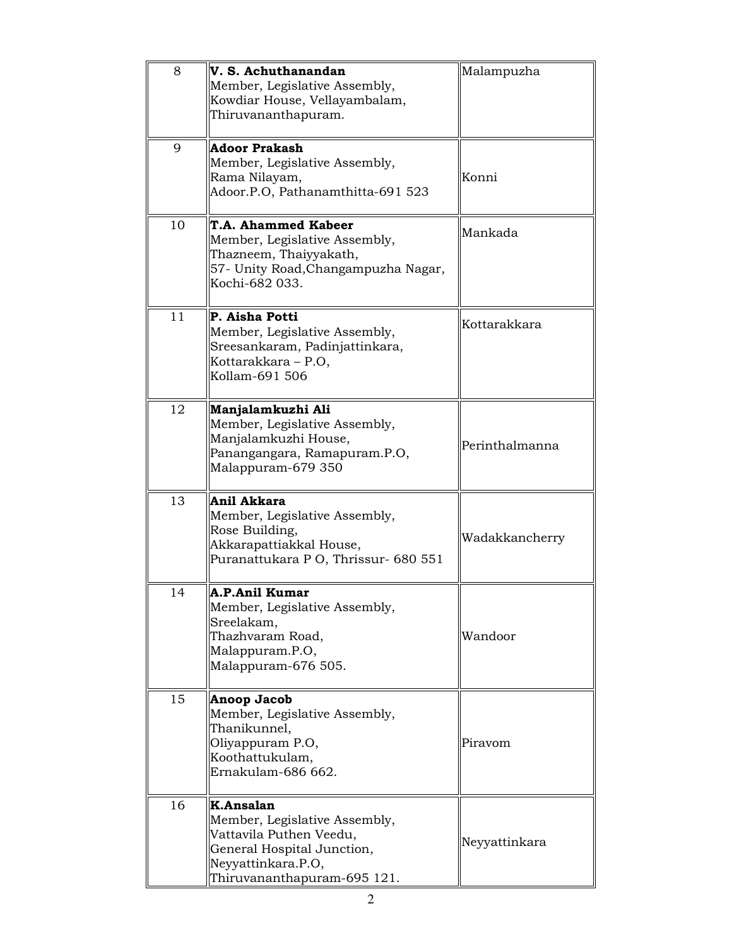| 8  | V. S. Achuthanandan<br>Member, Legislative Assembly,<br>Kowdiar House, Vellayambalam,<br>Thiruvananthapuram.                                             | Malampuzha     |
|----|----------------------------------------------------------------------------------------------------------------------------------------------------------|----------------|
| 9  | <b>Adoor Prakash</b><br>Member, Legislative Assembly,<br>Rama Nilayam,<br>Adoor.P.O, Pathanamthitta-691 523                                              | Konni          |
| 10 | <b>T.A. Ahammed Kabeer</b><br>Member, Legislative Assembly,<br>Thazneem, Thaiyyakath,<br>57- Unity Road, Changampuzha Nagar,<br>Kochi-682 033.           | Mankada        |
| 11 | P. Aisha Potti<br>Member, Legislative Assembly,<br>Sreesankaram, Padinjattinkara,<br>Kottarakkara - P.O,<br>Kollam-691 506                               | Kottarakkara   |
| 12 | Manjalamkuzhi Ali<br>Member, Legislative Assembly,<br>Manjalamkuzhi House,<br>Panangangara, Ramapuram.P.O,<br>Malappuram-679 350                         | Perinthalmanna |
| 13 | Anil Akkara<br>Member, Legislative Assembly,<br>Rose Building,<br>Akkarapattiakkal House,<br>Puranattukara P O, Thrissur- 680 551                        | Wadakkancherry |
| 14 | A.P.Anil Kumar<br>Member, Legislative Assembly,<br>Sreelakam,<br>Thazhvaram Road,<br>Malappuram.P.O,<br>Malappuram-676 505.                              | Wandoor        |
| 15 | Anoop Jacob<br>Member, Legislative Assembly,<br>Thanikunnel,<br>Oliyappuram P.O,<br>Koothattukulam,<br>Ernakulam-686 662.                                | Piravom        |
| 16 | K.Ansalan<br>Member, Legislative Assembly,<br>Vattavila Puthen Veedu,<br>General Hospital Junction,<br>Neyyattinkara.P.O,<br>Thiruvananthapuram-695 121. | Neyyattinkara  |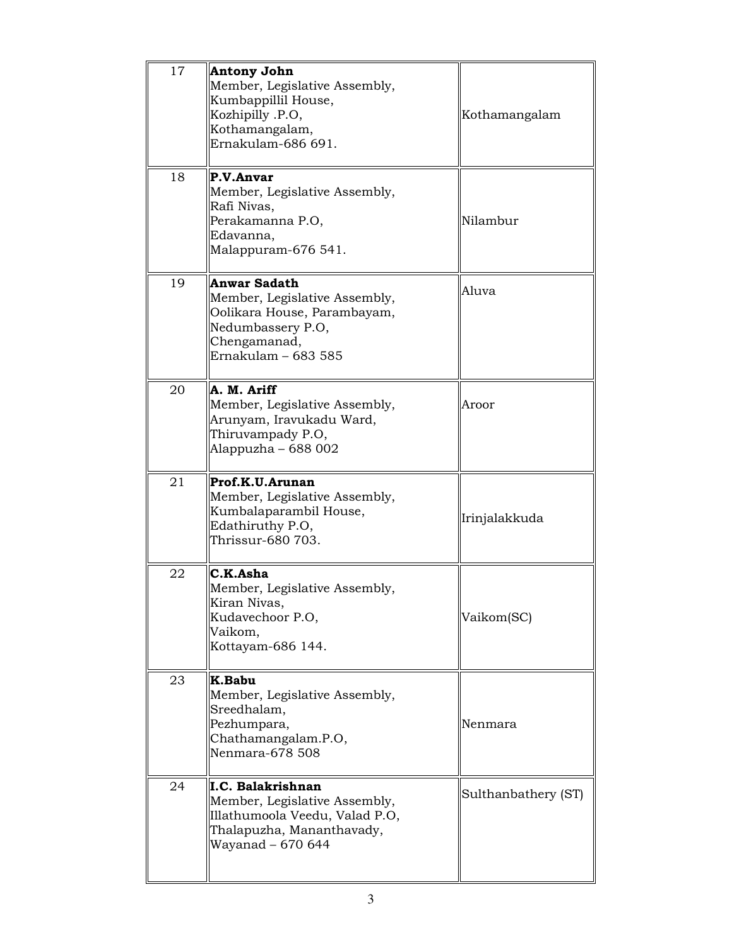| 17 | <b>Antony John</b><br>Member, Legislative Assembly,<br>Kumbappillil House,<br>Kozhipilly .P.O,<br>Kothamangalam,<br>Ernakulam-686 691.          | Kothamangalam |
|----|-------------------------------------------------------------------------------------------------------------------------------------------------|---------------|
| 18 | P.V.Anvar<br>Member, Legislative Assembly,<br>Rafi Nivas,<br>Perakamanna P.O,<br>Edavanna,<br>Malappuram-676 541.                               | Nilambur      |
| 19 | <b>Anwar Sadath</b><br>Member, Legislative Assembly,<br>Oolikara House, Parambayam,<br>Nedumbassery P.O,<br>Chengamanad,<br>Ernakulam - 683 585 | Aluva         |
| 20 | A. M. Ariff<br>Member, Legislative Assembly,<br>Arunyam, Iravukadu Ward,<br>Thiruvampady P.O,<br>Alappuzha – 688 002                            | Aroor         |
| 21 | Prof.K.U.Arunan<br>Member, Legislative Assembly,<br>Kumbalaparambil House,<br>Edathiruthy P.O,<br>Thrissur-680 703.                             | Irinjalakkuda |
| 22 | C.K.Asha<br>Member, Legislative Assembly,<br>Kiran Nivas,<br>Kudavechoor P.O,                                                                   |               |
|    | Vaikom,<br>Kottayam-686 144.                                                                                                                    | Vaikom(SC)    |
| 23 | K.Babu<br>Member, Legislative Assembly,<br>Sreedhalam,<br>Pezhumpara,<br>Chathamangalam.P.O,<br>Nenmara-678 508                                 | Nenmara       |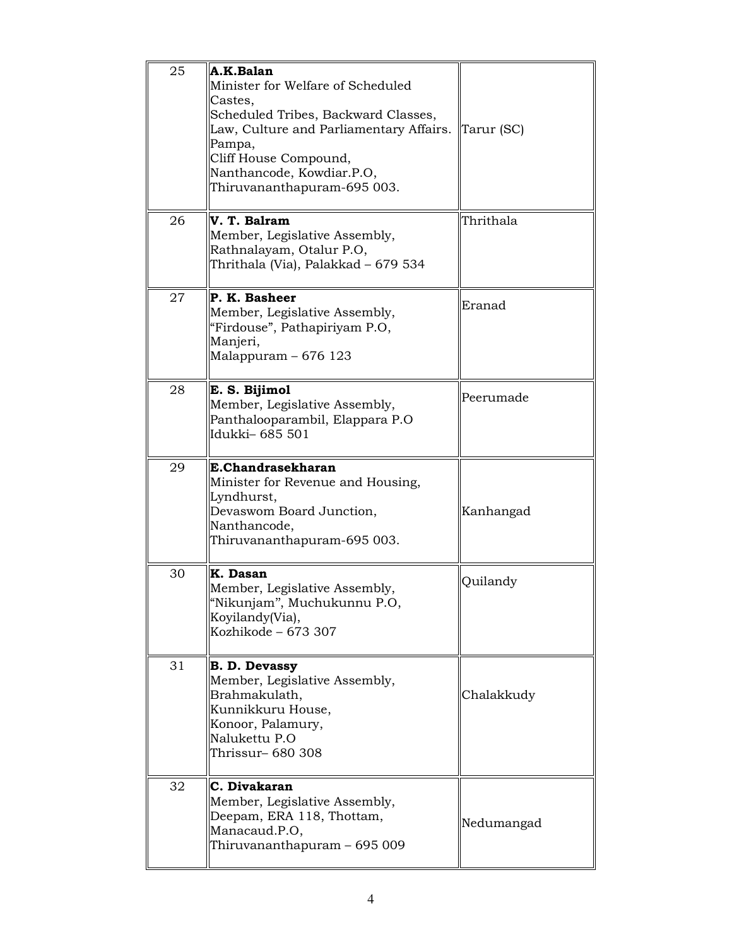| 25 | A.K.Balan<br>Minister for Welfare of Scheduled<br>Castes,<br>Scheduled Tribes, Backward Classes,<br>Law, Culture and Parliamentary Affairs. Tarur (SC)<br>Pampa,<br>Cliff House Compound,<br>Nanthancode, Kowdiar.P.O,<br>Thiruvananthapuram-695 003. |            |
|----|-------------------------------------------------------------------------------------------------------------------------------------------------------------------------------------------------------------------------------------------------------|------------|
| 26 | V. T. Balram<br>Member, Legislative Assembly,<br>Rathnalayam, Otalur P.O,<br>Thrithala (Via), Palakkad – 679 534                                                                                                                                      | Thrithala  |
| 27 | P. K. Basheer<br>Member, Legislative Assembly,<br>"Firdouse", Pathapiriyam P.O,<br>Manjeri,<br>Malappuram - 676 123                                                                                                                                   | Eranad     |
| 28 | E. S. Bijimol<br>Member, Legislative Assembly,<br>Panthalooparambil, Elappara P.O<br>Idukki-685 501                                                                                                                                                   | Peerumade  |
| 29 | E.Chandrasekharan<br>Minister for Revenue and Housing,<br>Lyndhurst,<br>Devaswom Board Junction,<br>Nanthancode,<br>Thiruvananthapuram-695 003.                                                                                                       | Kanhangad  |
| 30 | K. Dasan<br>Member, Legislative Assembly,<br>"Nikunjam", Muchukunnu P.O,<br>Koyilandy(Via),<br>Kozhikode - 673 307                                                                                                                                    | Quilandy   |
| 31 | <b>B. D. Devassy</b><br>Member, Legislative Assembly,<br>Brahmakulath,<br>Kunnikkuru House,<br>Konoor, Palamury,<br>Nalukettu P.O<br>Thrissur- 680 308                                                                                                | Chalakkudy |
| 32 | C. Divakaran<br>Member, Legislative Assembly,<br>Deepam, ERA 118, Thottam,<br>Manacaud.P.O,<br>Thiruvananthapuram - 695 009                                                                                                                           | Nedumangad |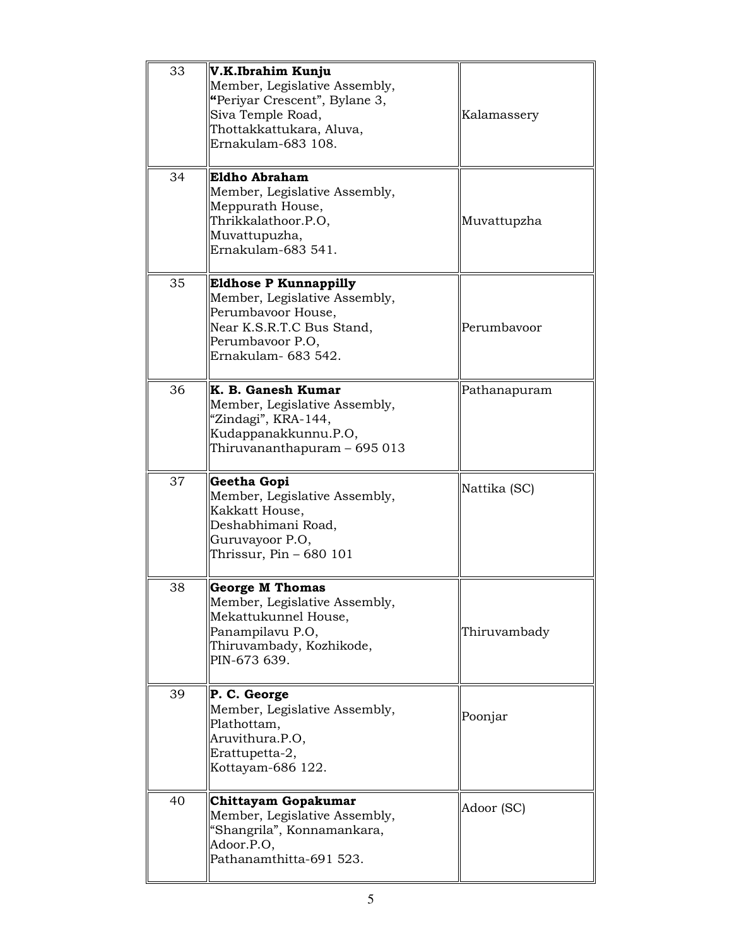| 33 | V.K.Ibrahim Kunju<br>Member, Legislative Assembly,<br>"Periyar Crescent", Bylane 3,<br>Siva Temple Road,<br>Thottakkattukara, Aluva,<br>Ernakulam-683 108.   | Kalamassery  |
|----|--------------------------------------------------------------------------------------------------------------------------------------------------------------|--------------|
| 34 | Eldho Abraham<br>Member, Legislative Assembly,<br>Meppurath House,<br>Thrikkalathoor.P.O,<br>Muvattupuzha,<br>Ernakulam-683 541.                             | Muvattupzha  |
| 35 | <b>Eldhose P Kunnappilly</b><br>Member, Legislative Assembly,<br>Perumbavoor House,<br>Near K.S.R.T.C Bus Stand,<br>Perumbavoor P.O.<br>Ernakulam - 683 542. | Perumbayoor  |
| 36 | K. B. Ganesh Kumar<br>Member, Legislative Assembly,<br>"Zindagi", KRA-144,<br>Kudappanakkunnu.P.O,<br>Thiruvananthapuram – 695 013                           | Pathanapuram |
|    |                                                                                                                                                              |              |
| 37 | Geetha Gopi<br>Member, Legislative Assembly,<br>Kakkatt House,<br>Deshabhimani Road,<br>Guruvayoor P.O,<br>Thrissur, Pin – 680 101                           | Nattika (SC) |
| 38 | <b>George M Thomas</b><br>Member, Legislative Assembly,<br>Mekattukunnel House,<br>Panampilavu P.O,<br>Thiruvambady, Kozhikode,<br>PIN-673 639.              | Thiruvambady |
| 39 | P. C. George<br>Member, Legislative Assembly,<br>Plathottam,<br>Aruvithura.P.O,<br>Erattupetta-2,<br>Kottayam-686 122.                                       | Poonjar      |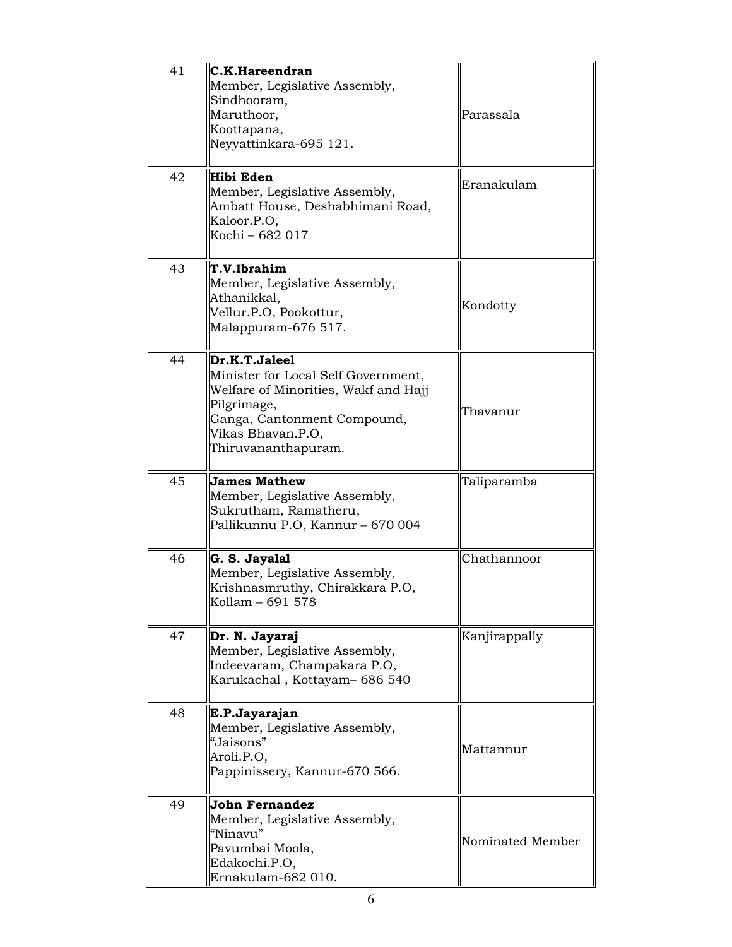| 41 | C.K.Hareendran<br>Member, Legislative Assembly,<br>Sindhooram,<br>Maruthoor,<br>Koottapana,<br>Neyyattinkara-695 121.                                                                  | Parassala        |
|----|----------------------------------------------------------------------------------------------------------------------------------------------------------------------------------------|------------------|
| 42 | Hibi Eden<br>Member, Legislative Assembly,<br>Ambatt House, Deshabhimani Road,<br>Kaloor.P.O,<br>Kochi - 682 017                                                                       | Eranakulam       |
| 43 | T.V.Ibrahim<br>Member, Legislative Assembly,<br>Athanikkal,<br>Vellur.P.O, Pookottur,<br>Malappuram-676 517.                                                                           | Kondotty         |
| 44 | Dr.K.T.Jaleel<br>Minister for Local Self Government,<br>Welfare of Minorities, Wakf and Hajj<br>Pilgrimage,<br>Ganga, Cantonment Compound,<br>Vikas Bhavan.P.O,<br>Thiruvananthapuram. | Thavanur         |
| 45 | <b>James Mathew</b><br>Member, Legislative Assembly,<br>Sukrutham, Ramatheru,<br>Pallikunnu P.O, Kannur - 670 004                                                                      | Taliparamba      |
| 46 | G. S. Jayalal<br>Member, Legislative Assembly,<br>Krishnasmruthy, Chirakkara P.O,<br>Kollam - 691 578                                                                                  | Chathannoor      |
| 47 | Dr. N. Jayaraj<br>Member, Legislative Assembly,<br>Indeevaram, Champakara P.O,<br>Karukachal, Kottayam- 686 540                                                                        | Kanjirappally    |
| 48 | E.P.Jayarajan<br>Member, Legislative Assembly,<br>"Jaisons"<br>Aroli.P.O,<br>Pappinissery, Kannur-670 566.                                                                             | Mattannur        |
| 49 | John Fernandez<br>Member, Legislative Assembly,<br>"Ninavu"<br>Pavumbai Moola,<br>Edakochi.P.O,<br>Ernakulam-682 010.                                                                  | Nominated Member |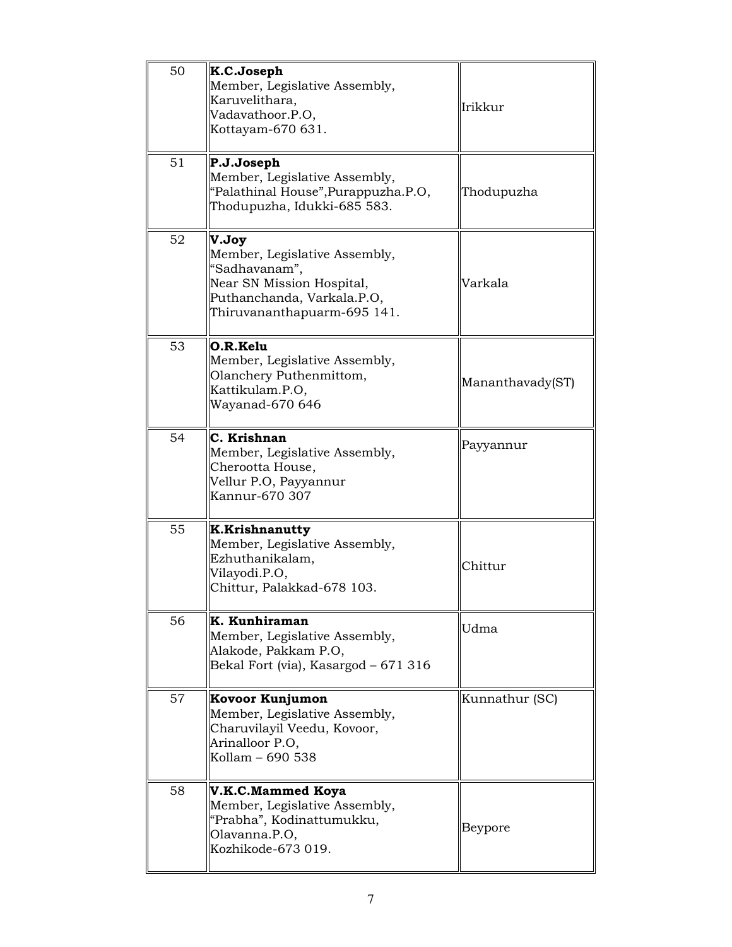| 50 | K.C.Joseph<br>Member, Legislative Assembly,<br>Karuvelithara,<br>Vadavathoor.P.O,<br>Kottayam-670 631.                                            | Irikkur          |
|----|---------------------------------------------------------------------------------------------------------------------------------------------------|------------------|
| 51 | P.J.Joseph<br>Member, Legislative Assembly,<br>"Palathinal House", Purappuzha.P.O,<br>Thodupuzha, Idukki-685 583.                                 | Thodupuzha       |
| 52 | V.Joy<br>Member, Legislative Assembly,<br>"Sadhavanam",<br>Near SN Mission Hospital,<br>Puthanchanda, Varkala.P.O,<br>Thiruvananthapuarm-695 141. | Varkala          |
| 53 | O.R.Kelu<br>Member, Legislative Assembly,<br>Olanchery Puthenmittom,<br>Kattikulam.P.O,<br>Wayanad-670 646                                        | Mananthavady(ST) |
| 54 | C. Krishnan<br>Member, Legislative Assembly,<br>Cherootta House,<br>Vellur P.O, Payyannur<br>Kannur-670 307                                       | Payyannur        |
| 55 | <b>K.Krishnanutty</b><br>Member, Legislative Assembly,<br>Ezhuthanikalam,<br>Vilayodi.P.O,<br>Chittur, Palakkad-678 103.                          | Chittur          |
| 56 | K. Kunhiraman<br>Member, Legislative Assembly,<br>Alakode, Pakkam P.O,<br>Bekal Fort (via), Kasargod - 671 316                                    | Udma             |
| 57 | Kovoor Kunjumon<br>Member, Legislative Assembly,<br>Charuvilayil Veedu, Kovoor,<br>Arinalloor P.O,<br>Kollam - 690 538                            | Kunnathur (SC)   |
| 58 | <b>V.K.C.Mammed Koya</b><br>Member, Legislative Assembly,<br>"Prabha", Kodinattumukku,<br>Olavanna.P.O,<br>Kozhikode-673 019.                     | Beypore          |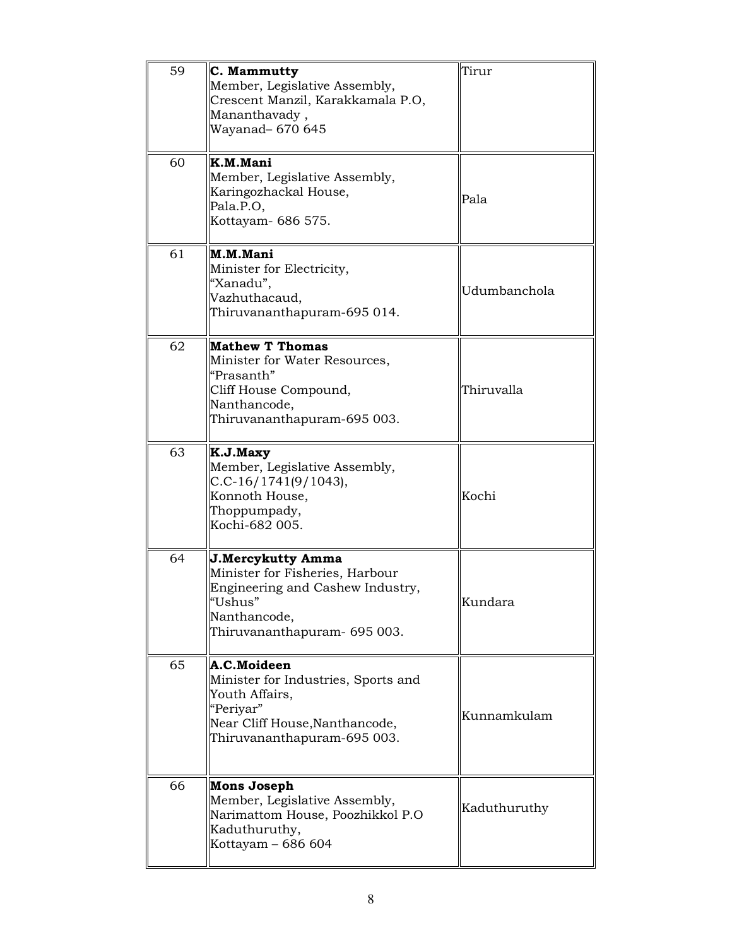| 59 | C. Mammutty<br>Member, Legislative Assembly,<br>Crescent Manzil, Karakkamala P.O,<br>Mananthavady,<br>Wayanad- 670 645                              | Tirur        |
|----|-----------------------------------------------------------------------------------------------------------------------------------------------------|--------------|
| 60 | K.M.Mani<br>Member, Legislative Assembly,<br>Karingozhackal House,<br>Pala.P.O,<br>Kottayam- 686 575.                                               | Pala         |
| 61 | M.M.Mani<br>Minister for Electricity,<br>"Xanadu",<br>Vazhuthacaud,<br>Thiruvananthapuram-695 014.                                                  | Udumbanchola |
| 62 | <b>Mathew T Thomas</b><br>Minister for Water Resources,<br>"Prasanth"<br>Cliff House Compound,<br>Nanthancode,<br>Thiruvananthapuram-695 003.       | Thiruvalla   |
| 63 | K.J.Maxy<br>Member, Legislative Assembly,<br>$C.C-16/1741(9/1043),$<br>Konnoth House,<br>Thoppumpady,<br>Kochi-682 005.                             | Kochi        |
| 64 | J.Mercykutty Amma<br>Minister for Fisheries, Harbour<br>Engineering and Cashew Industry,<br>"Ushus"<br>Nanthancode,<br>Thiruvananthapuram- 695 003. | Kundara      |
| 65 | A.C.Moideen<br>Minister for Industries, Sports and<br>Youth Affairs,<br>"Periyar"<br>Near Cliff House, Nanthancode,<br>Thiruvananthapuram-695 003.  | Kunnamkulam  |
| 66 | <b>Mons Joseph</b><br>Member, Legislative Assembly,<br>Narimattom House, Poozhikkol P.O<br>Kaduthuruthy,<br>Kottayam - 686 604                      | Kaduthuruthy |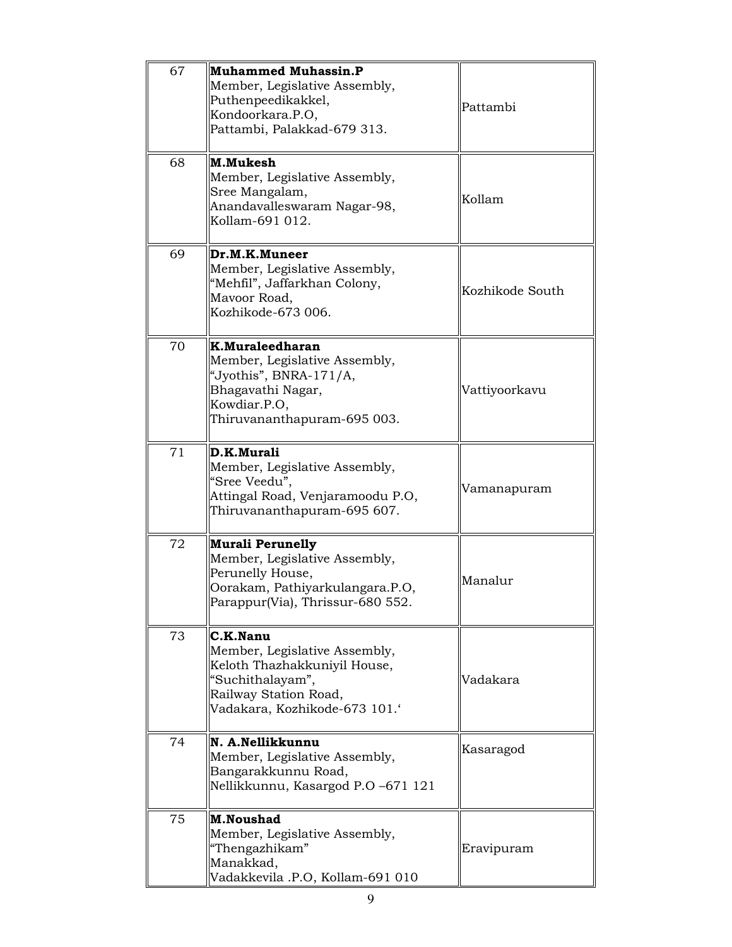| 67 | <b>Muhammed Muhassin.P</b><br>Member, Legislative Assembly,<br>Puthenpeedikakkel,<br>Kondoorkara.P.O,<br>Pattambi, Palakkad-679 313.                   | Pattambi        |
|----|--------------------------------------------------------------------------------------------------------------------------------------------------------|-----------------|
| 68 | M.Mukesh<br>Member, Legislative Assembly,<br>Sree Mangalam,<br>Anandavalleswaram Nagar-98,<br>Kollam-691 012.                                          | Kollam          |
| 69 | Dr.M.K.Muneer<br>Member, Legislative Assembly,<br>"Mehfil", Jaffarkhan Colony,<br>Mavoor Road,<br>Kozhikode-673 006.                                   | Kozhikode South |
| 70 | K.Muraleedharan<br>Member, Legislative Assembly,<br>"Jyothis", BNRA-171/A,<br>Bhagavathi Nagar,<br>Kowdiar.P.O,<br>Thiruvananthapuram-695 003.         | Vattiyoorkavu   |
| 71 | D.K.Murali<br>Member, Legislative Assembly,<br>"Sree Veedu",<br>Attingal Road, Venjaramoodu P.O,<br>Thiruvananthapuram-695 607.                        | Vamanapuram     |
| 72 | <b>Murali Perunelly</b><br>Member, Legislative Assembly,<br>Perunelly House,<br>Oorakam, Pathiyarkulangara.P.O,<br>Parappur(Via), Thrissur-680 552.    | Manalur         |
| 73 | C.K.Nanu<br>Member, Legislative Assembly,<br>Keloth Thazhakkuniyil House,<br>"Suchithalayam",<br>Railway Station Road,<br>Vadakara, Kozhikode-673 101. | Vadakara        |
| 74 | N. A.Nellikkunnu<br>Member, Legislative Assembly,<br>Bangarakkunnu Road,<br>Nellikkunnu, Kasargod P.O -671 121                                         | Kasaragod       |
| 75 | <b>M.Noushad</b><br>Member, Legislative Assembly,<br>"Thengazhikam"<br>Manakkad,<br>Vadakkevila .P.O, Kollam-691 010                                   | Eravipuram      |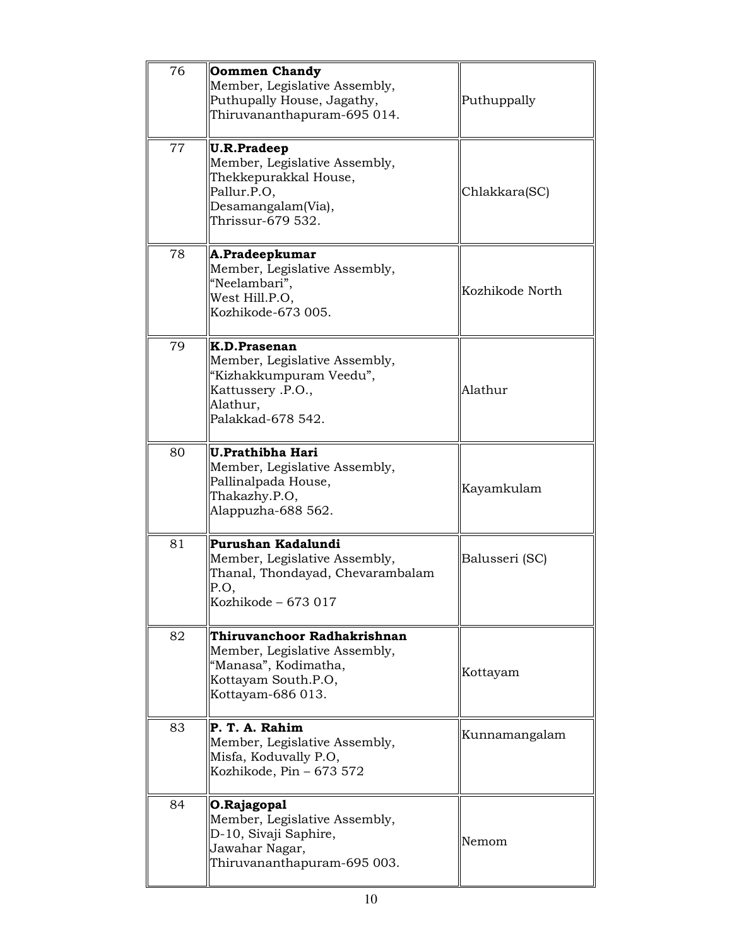| 76 | <b>Oommen Chandy</b><br>Member, Legislative Assembly,<br>Puthupally House, Jagathy,<br>Thiruvananthapuram-695 014.                     | Puthuppally     |
|----|----------------------------------------------------------------------------------------------------------------------------------------|-----------------|
| 77 | <b>U.R.Pradeep</b><br>Member, Legislative Assembly,<br>Thekkepurakkal House,<br>Pallur.P.O,<br>Desamangalam(Via),<br>Thrissur-679 532. | Chlakkara(SC)   |
| 78 | A.Pradeepkumar<br>Member, Legislative Assembly,<br>"Neelambari",<br>West Hill.P.O.<br>Kozhikode-673 005.                               | Kozhikode North |
| 79 | K.D.Prasenan<br>Member, Legislative Assembly,<br>"Kizhakkumpuram Veedu",<br>Kattussery .P.O.,<br>Alathur,<br>Palakkad-678 542.         | Alathur         |
| 80 | <b>U.Prathibha Hari</b><br>Member, Legislative Assembly,<br>Pallinalpada House,<br>Thakazhy.P.O,<br>Alappuzha-688 562.                 | Kayamkulam      |
| 81 | Purushan Kadalundi<br>Member, Legislative Assembly,<br>Thanal, Thondayad, Chevarambalam<br>P.O,<br>Kozhikode - 673 017                 | Balusseri (SC)  |
| 82 | Thiruvanchoor Radhakrishnan<br>Member, Legislative Assembly,<br>"Manasa", Kodimatha,<br>Kottayam South.P.O,<br>Kottayam-686 013.       | Kottayam        |
| 83 | P. T. A. Rahim<br>Member, Legislative Assembly,<br>Misfa, Koduvally P.O,<br>Kozhikode, Pin - 673 572                                   | Kunnamangalam   |
| 84 | O.Rajagopal<br>Member, Legislative Assembly,<br>D-10, Sivaji Saphire,<br>Jawahar Nagar,<br>Thiruvananthapuram-695 003.                 | Nemom           |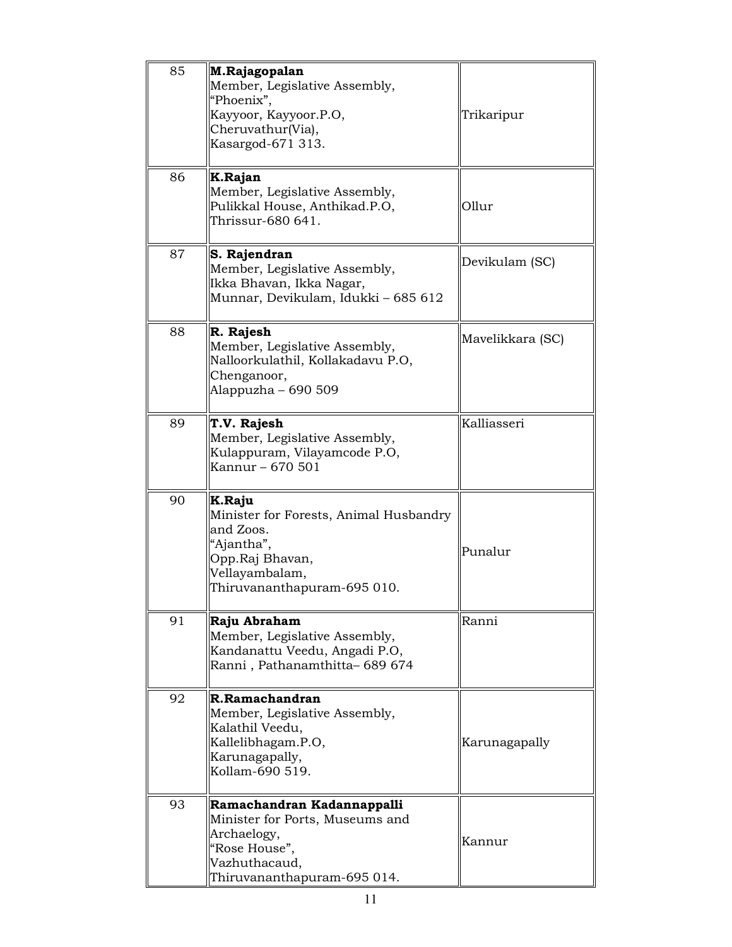| 85 | M.Rajagopalan<br>Member, Legislative Assembly,<br>"Phoenix",<br>Kayyoor, Kayyoor.P.O,<br>Cheruvathur(Via),<br>Kasargod-671 313.                 | Trikaripur       |
|----|-------------------------------------------------------------------------------------------------------------------------------------------------|------------------|
| 86 | K.Rajan<br>Member, Legislative Assembly,<br>Pulikkal House, Anthikad.P.O,<br>Thrissur-680 641.                                                  | Ollur            |
| 87 | S. Rajendran<br>Member, Legislative Assembly,<br>Ikka Bhavan, Ikka Nagar,<br>Munnar, Devikulam, Idukki - 685 612                                | Devikulam (SC)   |
| 88 | R. Rajesh<br>Member, Legislative Assembly,<br>Nalloorkulathil, Kollakadavu P.O,<br>Chenganoor,<br>Alappuzha - 690 509                           | Mavelikkara (SC) |
| 89 | T.V. Rajesh<br>Member, Legislative Assembly,<br>Kulappuram, Vilayamcode P.O,<br>Kannur - 670 501                                                | Kalliasseri      |
| 90 | K.Raju<br>Minister for Forests, Animal Husbandry<br>and Zoos.<br>"Ajantha",<br>Opp.Raj Bhavan,<br>Vellayambalam,<br>Thiruvananthapuram-695 010. | Punalur          |
| 91 | Raju Abraham<br>Member, Legislative Assembly,<br>Kandanattu Veedu, Angadi P.O,<br>Ranni, Pathanamthitta- 689 674                                | Ranni            |
| 92 | R.Ramachandran<br>Member, Legislative Assembly,<br>Kalathil Veedu,<br>Kallelibhagam.P.O,<br>Karunagapally,<br>Kollam-690 519.                   | Karunagapally    |
| 93 | Ramachandran Kadannappalli<br>Minister for Ports, Museums and<br>Archaelogy,<br>"Rose House",<br>Vazhuthacaud,<br>Thiruvananthapuram-695 014.   | Kannur           |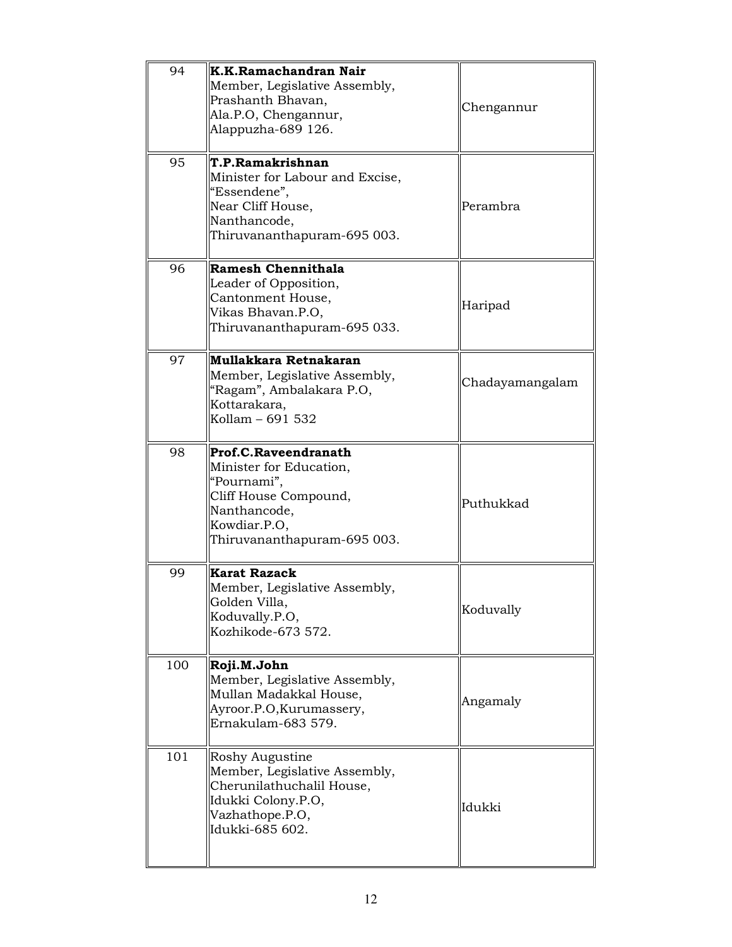| 94  | K.K.Ramachandran Nair<br>Member, Legislative Assembly,<br>Prashanth Bhavan,<br>Ala.P.O, Chengannur,<br>Alappuzha-689 126.                              | Chengannur      |
|-----|--------------------------------------------------------------------------------------------------------------------------------------------------------|-----------------|
| 95  | T.P.Ramakrishnan<br>Minister for Labour and Excise,<br>"Essendene",<br>Near Cliff House,<br>Nanthancode,<br>Thiruvananthapuram-695 003.                | Perambra        |
| 96  | Ramesh Chennithala<br>Leader of Opposition,<br>Cantonment House,<br>Vikas Bhavan.P.O,<br>Thiruvananthapuram-695 033.                                   | Haripad         |
| 97  | Mullakkara Retnakaran<br>Member, Legislative Assembly,<br>"Ragam", Ambalakara P.O,<br>Kottarakara,<br>Kollam - 691 532                                 | Chadayamangalam |
| 98  | Prof.C.Raveendranath<br>Minister for Education,<br>"Pournami",<br>Cliff House Compound,<br>Nanthancode,<br>Kowdiar.P.O,<br>Thiruvananthapuram-695 003. | Puthukkad       |
| 99  | <b>Karat Razack</b><br>Member, Legislative Assembly,<br>Golden Villa,<br>Koduvally.P.O,<br>Kozhikode-673 572.                                          | Koduvally       |
| 100 | Roji.M.John<br>Member, Legislative Assembly,<br>Mullan Madakkal House,<br>Ayroor.P.O.Kurumassery,<br>Ernakulam-683 579.                                | Angamaly        |
| 101 | Roshy Augustine<br>Member, Legislative Assembly,<br>Cherunilathuchalil House,<br>Idukki Colony.P.O,<br>Vazhathope.P.O,<br>Idukki-685 602.              | Idukki          |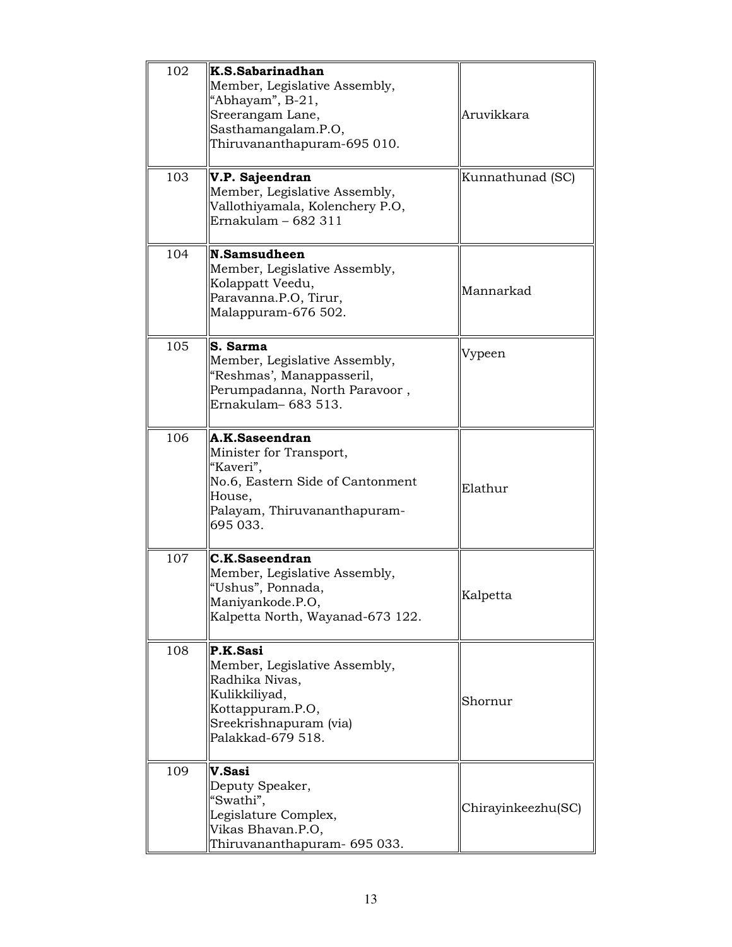| 102 | K.S.Sabarinadhan<br>Member, Legislative Assembly,<br>"Abhayam", B-21,<br>Sreerangam Lane,<br>Sasthamangalam.P.O,<br>Thiruvananthapuram-695 010.  | Aruvikkara         |
|-----|--------------------------------------------------------------------------------------------------------------------------------------------------|--------------------|
| 103 | V.P. Sajeendran<br>Member, Legislative Assembly,<br>Vallothiyamala, Kolenchery P.O,<br>Ernakulam - 682 311                                       | Kunnathunad (SC)   |
| 104 | N.Samsudheen<br>Member, Legislative Assembly,<br>Kolappatt Veedu,<br>Paravanna.P.O, Tirur,<br>Malappuram-676 502.                                | Mannarkad          |
| 105 | S. Sarma<br>Member, Legislative Assembly,<br>"Reshmas', Manappasseril,<br>Perumpadanna, North Paravoor,<br>Ernakulam- 683 513.                   | Vypeen             |
| 106 | A.K.Saseendran<br>Minister for Transport,<br>"Kaveri",<br>No.6, Eastern Side of Cantonment<br>House,<br>Palayam, Thiruvananthapuram-<br>695 033. | Elathur            |
| 107 | C.K.Saseendran<br>Member, Legislative Assembly,<br>"Ushus", Ponnada,<br>Maniyankode.P.O,<br>Kalpetta North, Wayanad-673 122.                     | Kalpetta           |
| 108 | P.K.Sasi<br>Member, Legislative Assembly,<br>Radhika Nivas,<br>Kulikkiliyad,<br>Kottappuram.P.O,<br>Sreekrishnapuram (via)<br>Palakkad-679 518.  | Shornur            |
| 109 | V.Sasi<br>Deputy Speaker,<br>"Swathi",<br>Legislature Complex,<br>Vikas Bhavan.P.O,<br>Thiruvananthapuram- 695 033.                              | Chirayinkeezhu(SC) |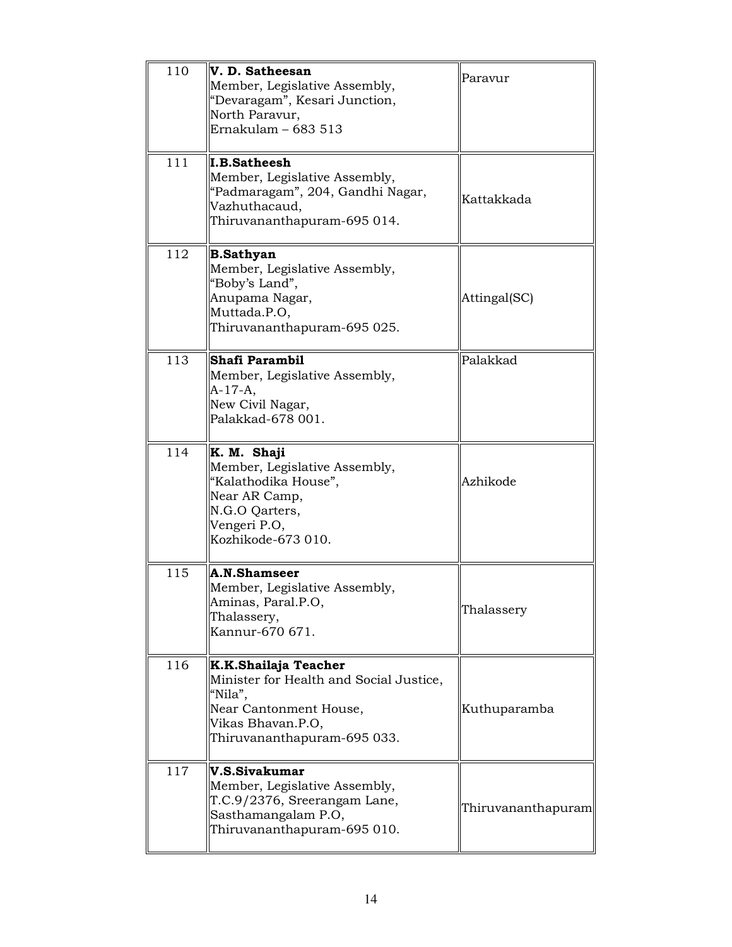| 110 | V. D. Satheesan<br>Member, Legislative Assembly,<br>"Devaragam", Kesari Junction,<br>North Paravur,<br>Ernakulam $-683513$                               | Paravur            |
|-----|----------------------------------------------------------------------------------------------------------------------------------------------------------|--------------------|
| 111 | <b>I.B.Satheesh</b><br>Member, Legislative Assembly,<br>"Padmaragam", 204, Gandhi Nagar,<br>Vazhuthacaud,<br>Thiruvananthapuram-695 014.                 | Kattakkada         |
| 112 | <b>B.Sathyan</b><br>Member, Legislative Assembly,<br>"Boby's Land",<br>Anupama Nagar,<br>Muttada.P.O,<br>Thiruvananthapuram-695 025.                     | Attingal(SC)       |
| 113 | Shafi Parambil<br>Member, Legislative Assembly,<br>$A-17-A,$<br>New Civil Nagar,<br>Palakkad-678 001.                                                    | Palakkad           |
| 114 | K. M. Shaji<br>Member, Legislative Assembly,<br>"Kalathodika House",<br>Near AR Camp,<br>N.G.O Qarters,<br>Vengeri P.O,<br>Kozhikode-673 010.            | Azhikode           |
| 115 | A.N.Shamseer<br>Member, Legislative Assembly,<br>Aminas, Paral.P.O,<br>Thalassery,<br>Kannur-670 671.                                                    | Thalassery         |
| 116 | K.K.Shailaja Teacher<br>Minister for Health and Social Justice,<br>"Nila",<br>Near Cantonment House,<br>Vikas Bhavan.P.O,<br>Thiruvananthapuram-695 033. | Kuthuparamba       |
| 117 | V.S.Sivakumar<br>Member, Legislative Assembly,<br>T.C.9/2376, Sreerangam Lane,<br>Sasthamangalam P.O,<br>Thiruvananthapuram-695 010.                     | Thiruvananthapuram |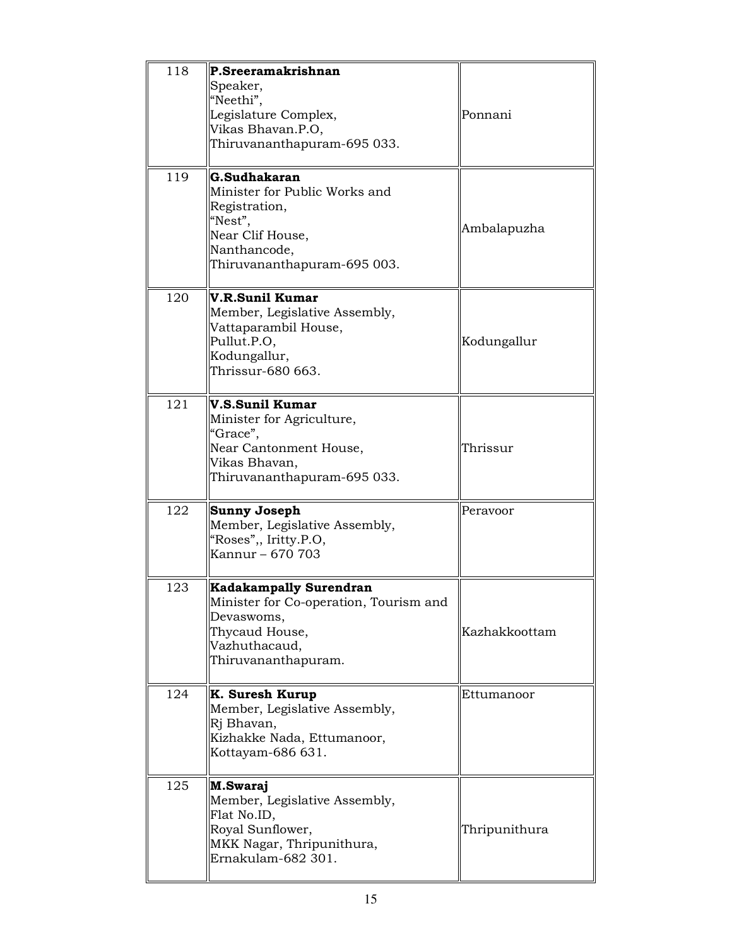| 118 | P.Sreeramakrishnan<br>Speaker,<br>"Neethi",<br>Legislature Complex,<br>Vikas Bhavan.P.O,<br>Thiruvananthapuram-695 033.                         | Ponnani       |
|-----|-------------------------------------------------------------------------------------------------------------------------------------------------|---------------|
| 119 | G.Sudhakaran<br>Minister for Public Works and<br>Registration,<br>"Nest",<br>Near Clif House,<br>Nanthancode,<br>Thiruvananthapuram-695 003.    | Ambalapuzha   |
| 120 | V.R.Sunil Kumar<br>Member, Legislative Assembly,<br>Vattaparambil House,<br>Pullut.P.O,<br>Kodungallur,<br>Thrissur-680 663.                    | Kodungallur   |
| 121 | V.S.Sunil Kumar<br>Minister for Agriculture,<br>"Grace",<br>Near Cantonment House,<br>Vikas Bhavan,<br>Thiruvananthapuram-695 033.              | Thrissur      |
| 122 | <b>Sunny Joseph</b><br>Member, Legislative Assembly,<br>"Roses", Iritty.P.O,<br>Kannur - 670 703                                                | Perayoor      |
| 123 | <b>Kadakampally Surendran</b><br>Minister for Co-operation, Tourism and<br>Devaswoms,<br>Thycaud House,<br>Vazhuthacaud,<br>Thiruvananthapuram. | Kazhakkoottam |
| 124 | K. Suresh Kurup<br>Member, Legislative Assembly,<br>Rj Bhavan,<br>Kizhakke Nada, Ettumanoor,<br>Kottayam-686 631.                               | Ettumanoor    |
| 125 | M.Swaraj<br>Member, Legislative Assembly,<br>Flat No.ID,<br>Royal Sunflower,<br>MKK Nagar, Thripunithura,<br>Ernakulam-682 301.                 | Thripunithura |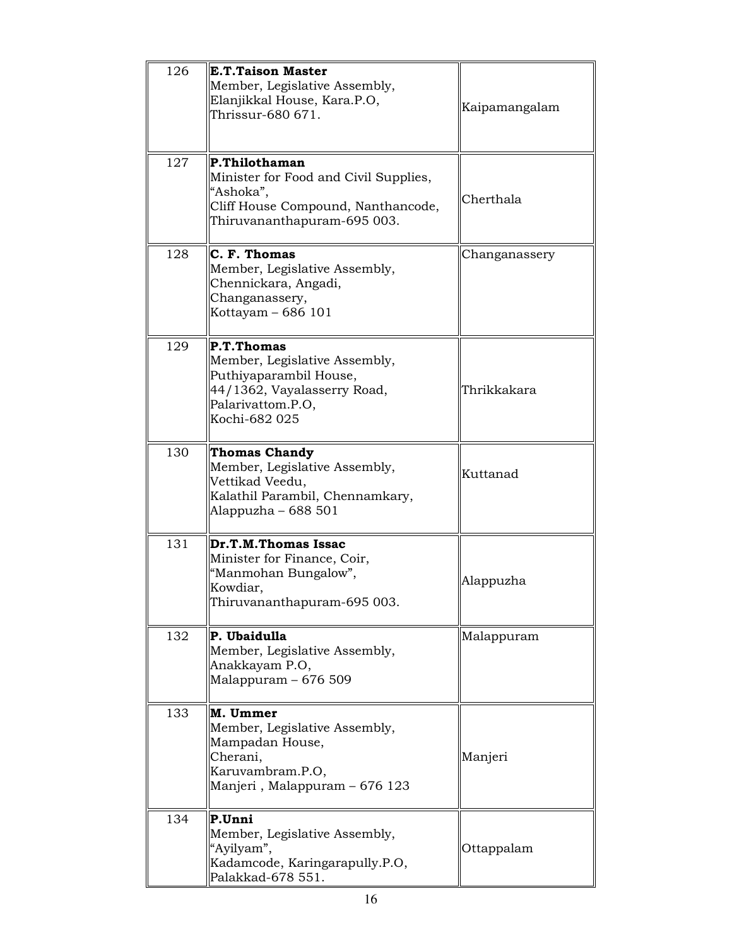| 126 | <b>E.T.Taison Master</b><br>Member, Legislative Assembly,<br>Elanjikkal House, Kara.P.O,<br>Thrissur-680 671.                              | Kaipamangalam |
|-----|--------------------------------------------------------------------------------------------------------------------------------------------|---------------|
| 127 | P.Thilothaman<br>Minister for Food and Civil Supplies,<br>"Ashoka",<br>Cliff House Compound, Nanthancode,<br>Thiruvananthapuram-695 003.   | Cherthala     |
| 128 | C. F. Thomas<br>Member, Legislative Assembly,<br>Chennickara, Angadi,<br>Changanassery,<br>Kottayam - 686 101                              | Changanassery |
| 129 | P.T.Thomas<br>Member, Legislative Assembly,<br>Puthiyaparambil House,<br>44/1362, Vayalasserry Road,<br>Palarivattom.P.O,<br>Kochi-682 025 | Thrikkakara   |
| 130 | <b>Thomas Chandy</b><br>Member, Legislative Assembly,<br>Vettikad Veedu,<br>Kalathil Parambil, Chennamkary,<br>Alappuzha – 688 501         | Kuttanad      |
| 131 | Dr.T.M.Thomas Issac<br>Minister for Finance, Coir,<br>"Manmohan Bungalow",<br>Kowdiar,<br>Thiruvananthapuram-695 003.                      | Alappuzha     |
| 132 | P. Ubaidulla<br>Member, Legislative Assembly,<br>Anakkayam P.O,<br>Malappuram - 676 509                                                    | Malappuram    |
| 133 | M. Ummer<br>Member, Legislative Assembly,<br>Mampadan House,<br>Cherani,<br>Karuvambram.P.O,<br>Manjeri, Malappuram - 676 123              | Manjeri       |
| 134 | P.Unni<br>Member, Legislative Assembly,<br>"Ayilyam",<br>Kadamcode, Karingarapully.P.O,<br>Palakkad-678 551.                               | Ottappalam    |